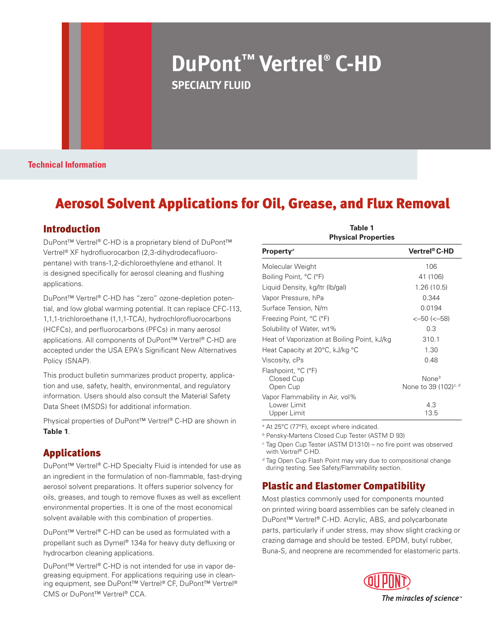# **DuPont™ Vertrel® C-HD SPECIALTY FLUID**

**Technical Information**

## Aerosol Solvent Applications for Oil, Grease, and Flux Removal

#### Introduction

DuPont™ Vertrel® C-HD is a proprietary blend of DuPont™ Vertrel® XF hydrofluorocarbon (2,3-dihydrodecafluoropentane) with trans-1,2-dichloroethylene and ethanol. It is designed specifically for aerosol cleaning and flushing applications.

DuPont™ Vertrel® C-HD has "zero" ozone-depletion potential, and low global warming potential. It can replace CFC-113, 1,1,1-trichloroethane (1,1,1-TCA), hydrochlorofluorocarbons (HCFCs), and perfluorocarbons (PFCs) in many aerosol applications. All components of DuPont™ Vertrel® C-HD are accepted under the USA EPA's Significant New Alternatives Policy (SNAP).

This product bulletin summarizes product property, application and use, safety, health, environmental, and regulatory information. Users should also consult the Material Safety Data Sheet (MSDS) for additional information.

Physical properties of DuPont™ Vertrel® C-HD are shown in **Table 1**.

### Applications

DuPont™ Vertrel® C-HD Specialty Fluid is intended for use as an ingredient in the formulation of non-flammable, fast-drying aerosol solvent preparations. It offers superior solvency for oils, greases, and tough to remove fluxes as well as excellent environmental properties. It is one of the most economical solvent available with this combination of properties.

DuPont™ Vertrel® C-HD can be used as formulated with a propellant such as Dymel® 134a for heavy duty defluxing or hydrocarbon cleaning applications.

DuPont™ Vertrel® C-HD is not intended for use in vapor degreasing equipment. For applications requiring use in cleaning equipment, see DuPont™ Vertrel® CF, DuPont™ Vertrel® CMS or DuPont™ Vertrel® CCA.

| Table 1<br><b>Physical Properties</b>                         |                                                       |  |  |
|---------------------------------------------------------------|-------------------------------------------------------|--|--|
| <b>Property</b> <sup>a</sup>                                  | Vertrel® C-HD                                         |  |  |
| Molecular Weight                                              | 106                                                   |  |  |
| Boiling Point, °C (°F)                                        | 41 (106)                                              |  |  |
| Liquid Density, kg/ltr (lb/gal)                               | 1.26 (10.5)                                           |  |  |
| Vapor Pressure, hPa                                           | 0.344                                                 |  |  |
| Surface Tension, N/m                                          | 0.0194                                                |  |  |
| Freezing Point, °C (°F)                                       | $<-50$ ( $<-58$ )                                     |  |  |
| Solubility of Water, wt%                                      | 0.3                                                   |  |  |
| Heat of Vaporization at Boiling Point, kJ/kg                  | 310.1                                                 |  |  |
| Heat Capacity at 20°C, kJ/kg.°C                               | 1.30                                                  |  |  |
| Viscosity, cPs                                                | 0.48                                                  |  |  |
| Flashpoint, °C (°F)<br>Closed Cup<br>Open Cup                 | None <sup>b</sup><br>None to 39 (102) <sup>c, d</sup> |  |  |
| Vapor Flammability in Air, vol%<br>Lower Limit<br>Upper Limit | 4.3<br>13.5                                           |  |  |

<sup>a</sup> At 25°C (77°F), except where indicated.

- b Pensky-Martens Closed Cup Tester (ASTM D 93)
- c Tag Open Cup Tester (ASTM D1310) no fire point was observed with Vertrel® C-HD.

<sup>d</sup> Tag Open Cup Flash Point may vary due to compositional change during testing. See Safety/Flammability section.

### Plastic and Elastomer Compatibility

Most plastics commonly used for components mounted on printed wiring board assemblies can be safely cleaned in DuPont™ Vertrel® C-HD. Acrylic, ABS, and polycarbonate parts, particularly if under stress, may show slight cracking or crazing damage and should be tested. EPDM, butyl rubber, Buna-S, and neoprene are recommended for elastomeric parts.

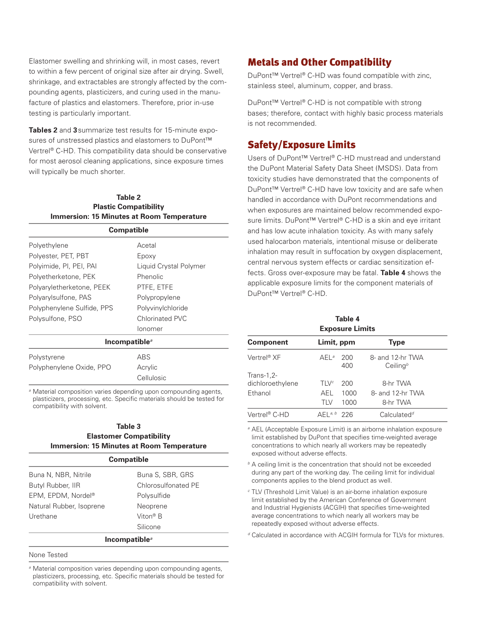Elastomer swelling and shrinking will, in most cases, revert to within a few percent of original size after air drying. Swell, shrinkage, and extractables are strongly affected by the compounding agents, plasticizers, and curing used in the manufacture of plastics and elastomers. Therefore, prior in-use testing is particularly important.

**Tables 2** and **3**summarize test results for 15-minute exposures of unstressed plastics and elastomers to DuPont™ Vertrel® C-HD. This compatibility data should be conservative for most aerosol cleaning applications, since exposure times will typically be much shorter.

#### **Table 2 Plastic Compatibility Immersion: 15 Minutes at Room Temperature**

| <b>Compatible</b>                      |                        |  |
|----------------------------------------|------------------------|--|
| Polyethylene                           | Acetal                 |  |
| Polyester, PET, PBT                    | Epoxy                  |  |
| Polyimide, PI, PEI, PAI                | Liquid Crystal Polymer |  |
| Polyetherketone, PEK                   | Phenolic               |  |
| Polyaryletherketone, PEEK              | PTFE, ETFE             |  |
| Polyarylsulfone, PAS                   | Polypropylene          |  |
| Polyphenylene Sulfide, PPS             | Polyvinylchloride      |  |
| Polysulfone, PSO                       | Chlorinated PVC        |  |
|                                        | Ionomer                |  |
| Incompatible <sup><math>a</math></sup> |                        |  |

| Polystyrene              | <b>ARS</b> |
|--------------------------|------------|
| Polyphenylene Oxide, PPO | Acrylic    |
|                          | Cellulosic |

<sup>a</sup> Material composition varies depending upon compounding agents, plasticizers, processing, etc. Specific materials should be tested for compatibility with solvent.

### **Table 3**

#### **Elastomer Compatibility Immersion: 15 Minutes at Room Temperature**

| <b>Compatible</b>                      |                      |  |
|----------------------------------------|----------------------|--|
| Buna N, NBR, Nitrile                   | Buna S, SBR, GRS     |  |
| Butyl Rubber, IIR                      | Chlorosulfonated PE  |  |
| EPM, EPDM, Nordel®                     | Polysulfide          |  |
| Natural Rubber, Isoprene               | Neoprene             |  |
| Urethane                               | Viton <sup>®</sup> B |  |
|                                        | Silicone             |  |
| Incompatible <sup><math>a</math></sup> |                      |  |

#### None Tested

<sup>a</sup> Material composition varies depending upon compounding agents, plasticizers, processing, etc. Specific materials should be tested for compatibility with solvent.

### Metals and Other Compatibility

DuPont™ Vertrel® C-HD was found compatible with zinc, stainless steel, aluminum, copper, and brass.

DuPont™ Vertrel® C-HD is not compatible with strong bases; therefore, contact with highly basic process materials is not recommended.

### Safety/Exposure Limits

Users of DuPont™ Vertrel® C-HD mustread and understand the DuPont Material Safety Data Sheet (MSDS). Data from toxicity studies have demonstrated that the components of DuPont™ Vertrel® C-HD have low toxicity and are safe when handled in accordance with DuPont recommendations and when exposures are maintained below recommended exposure limits. DuPont™ Vertrel® C-HD is a skin and eye irritant and has low acute inhalation toxicity. As with many safely used halocarbon materials, intentional misuse or deliberate inhalation may result in suffocation by oxygen displacement, central nervous system effects or cardiac sensitization effects. Gross over-exposure may be fatal. **Table 4** shows the applicable exposure limits for the component materials of DuPont™ Vertrel® C-HD.

#### **Table 4 Exposure Limits**

|         |            | <b>Type</b>                              |  |  |  |
|---------|------------|------------------------------------------|--|--|--|
| $AEL^a$ | 200<br>400 | 8- and 12-hr TWA<br>Ceiling <sup>b</sup> |  |  |  |
| TIVc    | 200        | 8-hr TWA                                 |  |  |  |
| AEL     | 1000       | 8- and 12-hr TWA                         |  |  |  |
| TI V    | 1000       | 8-hr TWA                                 |  |  |  |
|         |            | Calculated <sup>d</sup>                  |  |  |  |
|         |            | Limit, ppm<br>$AFL^{a, b}$ 226           |  |  |  |

<sup>a</sup> AEL (Acceptable Exposure Limit) is an airborne inhalation exposure limit established by DuPont that specifies time-weighted average concentrations to which nearly all workers may be repeatedly exposed without adverse effects.

 $b$  A ceiling limit is the concentration that should not be exceeded during any part of the working day. The ceiling limit for individual components applies to the blend product as well.

c TLV (Threshold Limit Value) is an air-borne inhalation exposure limit established by the American Conference of Government and Industrial Hygienists (ACGIH) that specifies time-weighted average concentrations to which nearly all workers may be repeatedly exposed without adverse effects.

d Calculated in accordance with ACGIH formula for TLVs for mixtures.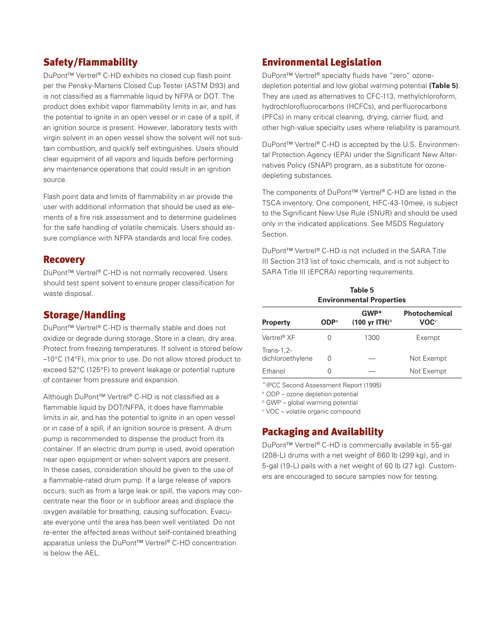### Safety/Flammability

DuPont™ Vertrel® C-HD exhibits no closed cup flash point per the Pensky-Martens Closed Cup Tester (ASTM D93) and is not classified as a flammable liquid by NFPA or DOT. The product does exhibit vapor flammability limits in air, and has the potential to ignite in an open vessel or in case of a spill, if an ignition source is present. However, laboratory tests with virgin solvent in an open vessel show the solvent will not sustain combustion, and quickly self extinguishes. Users should clear equipment of all vapors and liquids before performing any maintenance operations that could result in an ignition source.

Flash point data and limits of flammability in air provide the user with additional information that should be used as elements of a fire risk assessment and to determine guidelines for the safe handling of volatile chemicals. Users should assure compliance with NFPA standards and local fire codes.

### Recovery

DuPont™ Vertrel® C-HD is not normally recovered. Users should test spent solvent to ensure proper classification for waste disposal.

### Storage/Handling

DuPont™ Vertrel® C-HD is thermally stable and does not oxidize or degrade during storage. Store in a clean, dry area. Protect from freezing temperatures. If solvent is stored below –10°C (14°F), mix prior to use. Do not allow stored product to exceed 52°C (125°F) to prevent leakage or potential rupture of container from pressure and expansion.

Although DuPont™ Vertrel® C-HD is not classified as a flammable liquid by DOT/NFPA, it does have flammable limits in air, and has the potential to ignite in an open vessel or in case of a spill, if an ignition source is present. A drum pump is recommended to dispense the product from its container. If an electric drum pump is used, avoid operation near open equipment or when solvent vapors are present. In these cases, consideration should be given to the use of a flammable-rated drum pump. If a large release of vapors occurs, such as from a large leak or spill, the vapors may concentrate near the floor or in subfloor areas and displace the oxygen available for breathing, causing suffocation. Evacuate everyone until the area has been well ventilated. Do not re-enter the affected areas without self-contained breathing apparatus unless the DuPont™ Vertrel® C-HD concentration is below the AEL.

### Environmental Legislation

DuPont™ Vertrel® specialty fluids have "zero" ozonedepletion potential and low global warming potential **(Table 5)**. They are used as alternatives to CFC-113, methylchloroform, hydrochlorofluorocarbons (HCFCs), and perfluorocarbons (PFCs) in many critical cleaning, drying, carrier fluid, and other high-value specialty uses where reliability is paramount.

DuPont™ Vertrel® C-HD is accepted by the U.S. Environmental Protection Agency (EPA) under the Significant New Alternatives Policy (SNAP) program, as a substitute for ozonedepleting substances.

The components of DuPont™ Vertrel® C-HD are listed in the TSCA inventory. One component, HFC-43-10mee, is subject to the Significant New Use Rule (SNUR) and should be used only in the indicated applications. See MSDS Regulatory Section.

DuPont™ Vertrel® C-HD is not included in the SARA Title III Section 313 list of toxic chemicals, and is not subject to SARA Title III (EPCRA) reporting requirements.

| <b>Environmental Properties</b>  |         |                                     |                                          |
|----------------------------------|---------|-------------------------------------|------------------------------------------|
| <b>Property</b>                  | $ODP^a$ | $GWP*$<br>(100 yr ITH) <sup>b</sup> | <b>Photochemical</b><br>$\mathsf{VOC}^c$ |
| Vertrel <sup>®</sup> XF          |         | 1300                                | Exempt                                   |
| -1,2-Trans-1<br>dichloroethylene | Ω       |                                     | Not Exempt                               |
| Ethanol                          |         |                                     | Not Exempt                               |

**Table 5**

\* IPCC Second Assessment Report (1995)

<sup>a</sup> ODP - ozone depletion potential

 $b$  GWP – global warming potential

 $c$  VOC – volatile organic compound

### Packaging and Availability

DuPont™ Vertrel® C-HD is commercially available in 55-gal (208-L) drums with a net weight of 660 lb (299 kg), and in 5-gal (19-L) pails with a net weight of 60 lb (27 kg). Customers are encouraged to secure samples now for testing.